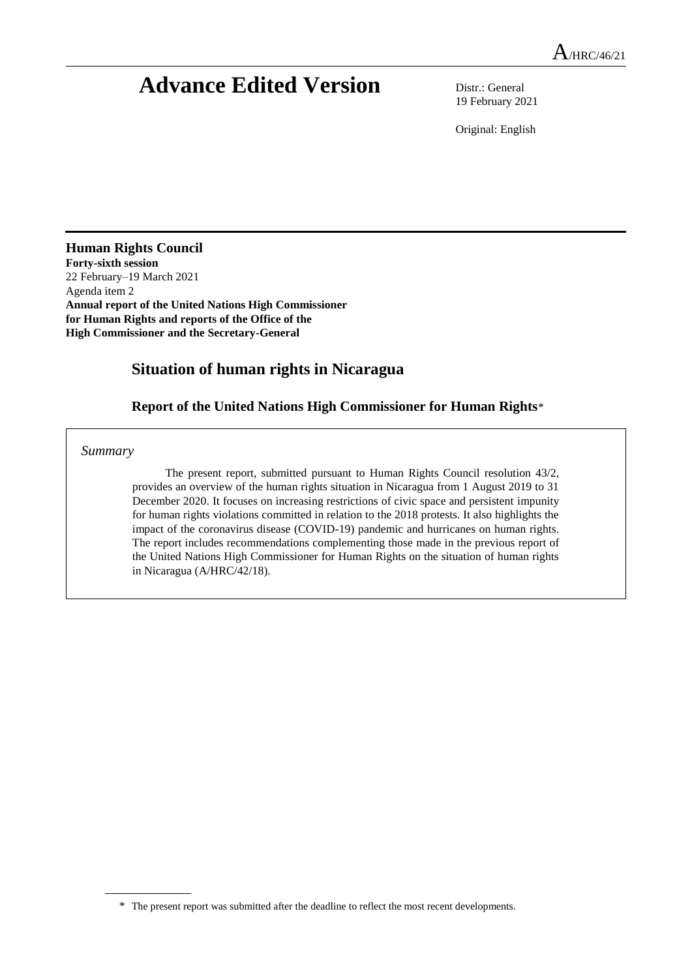# **Advance Edited Version** Distr.: General

19 February 2021

Original: English

**Human Rights Council Forty-sixth session** 22 February–19 March 2021 Agenda item 2 **Annual report of the United Nations High Commissioner for Human Rights and reports of the Office of the High Commissioner and the Secretary-General**

# **Situation of human rights in Nicaragua**

## **Report of the United Nations High Commissioner for Human Rights**\*

*Summary*

The present report, submitted pursuant to Human Rights Council resolution 43/2, provides an overview of the human rights situation in Nicaragua from 1 August 2019 to 31 December 2020. It focuses on increasing restrictions of civic space and persistent impunity for human rights violations committed in relation to the 2018 protests. It also highlights the impact of the coronavirus disease (COVID-19) pandemic and hurricanes on human rights. The report includes recommendations complementing those made in the previous report of the United Nations High Commissioner for Human Rights on the situation of human rights in Nicaragua (A/HRC/42/18).

<sup>\*</sup> The present report was submitted after the deadline to reflect the most recent developments.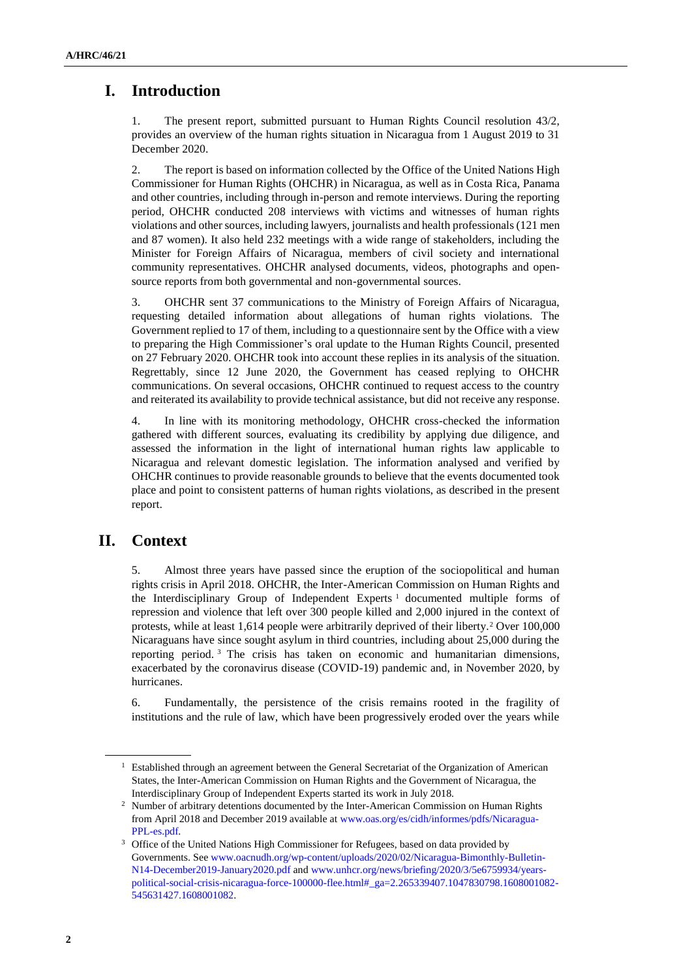# **I. Introduction**

1. The present report, submitted pursuant to Human Rights Council resolution 43/2, provides an overview of the human rights situation in Nicaragua from 1 August 2019 to 31 December 2020.

2. The report is based on information collected by the Office of the United Nations High Commissioner for Human Rights (OHCHR) in Nicaragua, as well as in Costa Rica, Panama and other countries, including through in-person and remote interviews. During the reporting period, OHCHR conducted 208 interviews with victims and witnesses of human rights violations and other sources, including lawyers, journalists and health professionals (121 men and 87 women). It also held 232 meetings with a wide range of stakeholders, including the Minister for Foreign Affairs of Nicaragua, members of civil society and international community representatives. OHCHR analysed documents, videos, photographs and opensource reports from both governmental and non-governmental sources.

3. OHCHR sent 37 communications to the Ministry of Foreign Affairs of Nicaragua, requesting detailed information about allegations of human rights violations. The Government replied to 17 of them, including to a questionnaire sent by the Office with a view to preparing the High Commissioner's oral update to the Human Rights Council, presented on 27 February 2020. OHCHR took into account these replies in its analysis of the situation. Regrettably, since 12 June 2020, the Government has ceased replying to OHCHR communications. On several occasions, OHCHR continued to request access to the country and reiterated its availability to provide technical assistance, but did not receive any response.

4. In line with its monitoring methodology, OHCHR cross-checked the information gathered with different sources, evaluating its credibility by applying due diligence, and assessed the information in the light of international human rights law applicable to Nicaragua and relevant domestic legislation. The information analysed and verified by OHCHR continues to provide reasonable grounds to believe that the events documented took place and point to consistent patterns of human rights violations, as described in the present report.

# **II. Context**

5. Almost three years have passed since the eruption of the sociopolitical and human rights crisis in April 2018. OHCHR, the Inter-American Commission on Human Rights and the Interdisciplinary Group of Independent Experts<sup>1</sup> documented multiple forms of repression and violence that left over 300 people killed and 2,000 injured in the context of protests, while at least 1,614 people were arbitrarily deprived of their liberty.<sup>2</sup> Over 100,000 Nicaraguans have since sought asylum in third countries, including about 25,000 during the reporting period. <sup>3</sup> The crisis has taken on economic and humanitarian dimensions, exacerbated by the coronavirus disease (COVID-19) pandemic and, in November 2020, by hurricanes.

6. Fundamentally, the persistence of the crisis remains rooted in the fragility of institutions and the rule of law, which have been progressively eroded over the years while

<sup>&</sup>lt;sup>1</sup> Established through an agreement between the General Secretariat of the Organization of American States, the Inter-American Commission on Human Rights and the Government of Nicaragua, the Interdisciplinary Group of Independent Experts started its work in July 2018.

<sup>&</sup>lt;sup>2</sup> Number of arbitrary detentions documented by the Inter-American Commission on Human Rights from April 2018 and December 2019 available at [www.oas.org/es/cidh/informes/pdfs/Nicaragua-](http://www.oas.org/es/cidh/informes/pdfs/Nicaragua-PPL-es.pdf)[PPL-es.pdf.](http://www.oas.org/es/cidh/informes/pdfs/Nicaragua-PPL-es.pdf)

<sup>&</sup>lt;sup>3</sup> Office of the United Nations High Commissioner for Refugees, based on data provided by Governments. Se[e www.oacnudh.org/wp-content/uploads/2020/02/Nicaragua-Bimonthly-Bulletin-](http://www.oacnudh.org/wp-content/uploads/2020/02/Nicaragua-Bimonthly-Bulletin-N14-December2019-January2020.pdf)[N14-December2019-January2020.pdf](http://www.oacnudh.org/wp-content/uploads/2020/02/Nicaragua-Bimonthly-Bulletin-N14-December2019-January2020.pdf) an[d www.unhcr.org/news/briefing/2020/3/5e6759934/years](http://www.unhcr.org/news/briefing/2020/3/5e6759934/years-political-social-crisis-nicaragua-force-100000-flee.html%23_ga=2.265339407.1047830798.1608001082-545631427.1608001082)[political-social-crisis-nicaragua-force-100000-flee.html#\\_ga=2.265339407.1047830798.1608001082-](http://www.unhcr.org/news/briefing/2020/3/5e6759934/years-political-social-crisis-nicaragua-force-100000-flee.html%23_ga=2.265339407.1047830798.1608001082-545631427.1608001082) [545631427.1608001082.](http://www.unhcr.org/news/briefing/2020/3/5e6759934/years-political-social-crisis-nicaragua-force-100000-flee.html%23_ga=2.265339407.1047830798.1608001082-545631427.1608001082)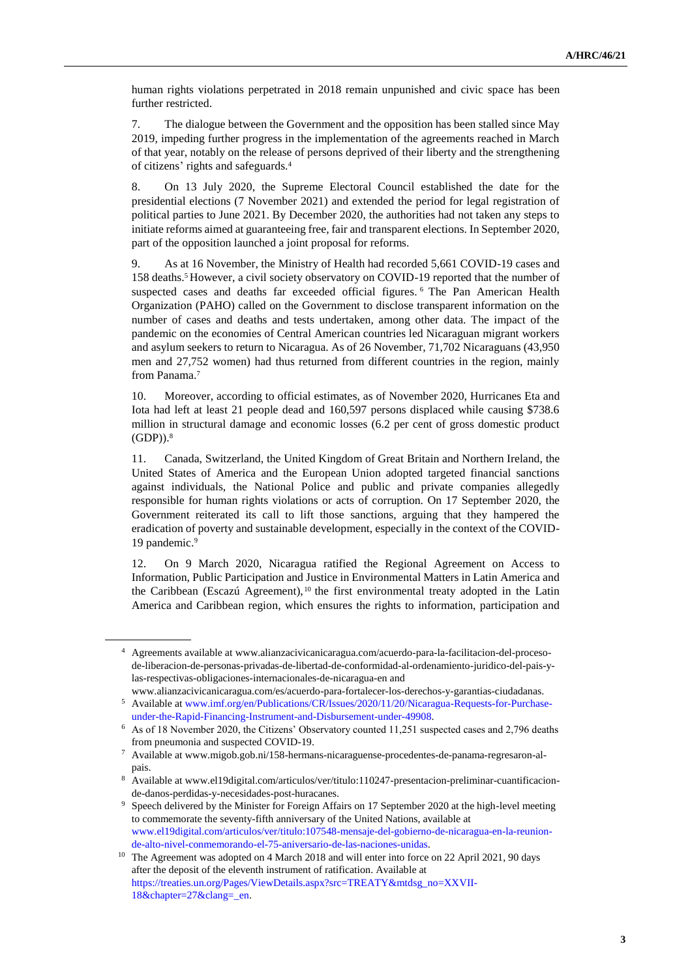human rights violations perpetrated in 2018 remain unpunished and civic space has been further restricted.

7. The dialogue between the Government and the opposition has been stalled since May 2019, impeding further progress in the implementation of the agreements reached in March of that year, notably on the release of persons deprived of their liberty and the strengthening of citizens' rights and safeguards.<sup>4</sup>

8. On 13 July 2020, the Supreme Electoral Council established the date for the presidential elections (7 November 2021) and extended the period for legal registration of political parties to June 2021. By December 2020, the authorities had not taken any steps to initiate reforms aimed at guaranteeing free, fair and transparent elections. In September 2020, part of the opposition launched a joint proposal for reforms.

9. As at 16 November, the Ministry of Health had recorded 5,661 COVID-19 cases and 158 deaths.<sup>5</sup> However, a civil society observatory on COVID-19 reported that the number of suspected cases and deaths far exceeded official figures.<sup>6</sup> The Pan American Health Organization (PAHO) called on the Government to disclose transparent information on the number of cases and deaths and tests undertaken, among other data. The impact of the pandemic on the economies of Central American countries led Nicaraguan migrant workers and asylum seekers to return to Nicaragua. As of 26 November, 71,702 Nicaraguans (43,950 men and 27,752 women) had thus returned from different countries in the region, mainly from Panama.<sup>7</sup>

10. Moreover, according to official estimates, as of November 2020, Hurricanes Eta and Iota had left at least 21 people dead and 160,597 persons displaced while causing \$738.6 million in structural damage and economic losses (6.2 per cent of gross domestic product  $(GDP)$ ).<sup>8</sup>

11. Canada, Switzerland, the United Kingdom of Great Britain and Northern Ireland, the United States of America and the European Union adopted targeted financial sanctions against individuals, the National Police and public and private companies allegedly responsible for human rights violations or acts of corruption. On 17 September 2020, the Government reiterated its call to lift those sanctions, arguing that they hampered the eradication of poverty and sustainable development, especially in the context of the COVID-19 pandemic.<sup>9</sup>

12. On 9 March 2020, Nicaragua ratified the Regional Agreement on Access to Information, Public Participation and Justice in Environmental Matters in Latin America and the Caribbean (Escazú Agreement),<sup>10</sup> the first environmental treaty adopted in the Latin America and Caribbean region, which ensures the rights to information, participation and

<sup>4</sup> Agreements available at www.alianzacivicanicaragua.com/acuerdo-para-la-facilitacion-del-procesode-liberacion-de-personas-privadas-de-libertad-de-conformidad-al-ordenamiento-juridico-del-pais-ylas-respectivas-obligaciones-internacionales-de-nicaragua-en and

www.alianzacivicanicaragua.com/es/acuerdo-para-fortalecer-los-derechos-y-garantias-ciudadanas. <sup>5</sup> Available at [www.imf.org/en/Publications/CR/Issues/2020/11/20/Nicaragua-Requests-for-Purchase](http://www.imf.org/en/Publications/CR/Issues/2020/11/20/Nicaragua-Requests-for-Purchase-under-the-Rapid-Financing-Instrument-and-Disbursement-under-49908)[under-the-Rapid-Financing-Instrument-and-Disbursement-under-49908.](http://www.imf.org/en/Publications/CR/Issues/2020/11/20/Nicaragua-Requests-for-Purchase-under-the-Rapid-Financing-Instrument-and-Disbursement-under-49908)

<sup>6</sup> As of 18 November 2020, the Citizens' Observatory counted 11,251 suspected cases and 2,796 deaths from pneumonia and suspected COVID-19.

<sup>7</sup> Available at www.migob.gob.ni/158-hermans-nicaraguense-procedentes-de-panama-regresaron-alpais.

<sup>8</sup> Available at www.el19digital.com/articulos/ver/titulo:110247-presentacion-preliminar-cuantificacionde-danos-perdidas-y-necesidades-post-huracanes.

<sup>&</sup>lt;sup>9</sup> Speech delivered by the Minister for Foreign Affairs on 17 September 2020 at the high-level meeting to commemorate the seventy-fifth anniversary of the United Nations, available at [www.el19digital.com/articulos/ver/titulo:107548-mensaje-del-gobierno-de-nicaragua-en-la-reunion](http://www.el19digital.com/articulos/ver/titulo:107548-mensaje-del-gobierno-de-nicaragua-en-la-reunion-de-alto-nivel-conmemorando-el-75-aniversario-de-las-naciones-unidas)[de-alto-nivel-conmemorando-el-75-aniversario-de-las-naciones-unidas.](http://www.el19digital.com/articulos/ver/titulo:107548-mensaje-del-gobierno-de-nicaragua-en-la-reunion-de-alto-nivel-conmemorando-el-75-aniversario-de-las-naciones-unidas)

<sup>&</sup>lt;sup>10</sup> The Agreement was adopted on 4 March 2018 and will enter into force on 22 April 2021, 90 days after the deposit of the eleventh instrument of ratification. Available at [https://treaties.un.org/Pages/ViewDetails.aspx?src=TREATY&mtdsg\\_no=XXVII-](https://treaties.un.org/Pages/ViewDetails.aspx?src=TREATY&mtdsg_no=XXVII-18&chapter=27&clang=_en)[18&chapter=27&clang=\\_en.](https://treaties.un.org/Pages/ViewDetails.aspx?src=TREATY&mtdsg_no=XXVII-18&chapter=27&clang=_en)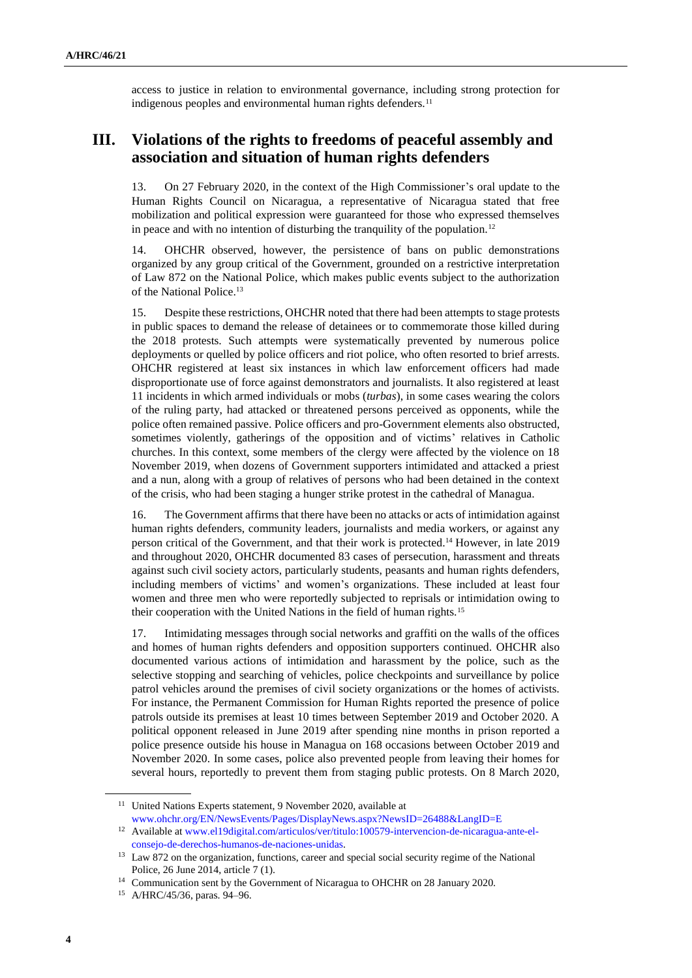access to justice in relation to environmental governance, including strong protection for indigenous peoples and environmental human rights defenders.<sup>11</sup>

# **III. Violations of the rights to freedoms of peaceful assembly and association and situation of human rights defenders**

13. On 27 February 2020, in the context of the High Commissioner's oral update to the Human Rights Council on Nicaragua, a representative of Nicaragua stated that free mobilization and political expression were guaranteed for those who expressed themselves in peace and with no intention of disturbing the tranquility of the population.<sup>12</sup>

14. OHCHR observed, however, the persistence of bans on public demonstrations organized by any group critical of the Government, grounded on a restrictive interpretation of Law 872 on the National Police, which makes public events subject to the authorization of the National Police.<sup>13</sup>

15. Despite these restrictions, OHCHR noted that there had been attempts to stage protests in public spaces to demand the release of detainees or to commemorate those killed during the 2018 protests. Such attempts were systematically prevented by numerous police deployments or quelled by police officers and riot police, who often resorted to brief arrests. OHCHR registered at least six instances in which law enforcement officers had made disproportionate use of force against demonstrators and journalists. It also registered at least 11 incidents in which armed individuals or mobs (*turbas*), in some cases wearing the colors of the ruling party, had attacked or threatened persons perceived as opponents, while the police often remained passive. Police officers and pro-Government elements also obstructed, sometimes violently, gatherings of the opposition and of victims' relatives in Catholic churches. In this context, some members of the clergy were affected by the violence on 18 November 2019, when dozens of Government supporters intimidated and attacked a priest and a nun, along with a group of relatives of persons who had been detained in the context of the crisis, who had been staging a hunger strike protest in the cathedral of Managua.

16. The Government affirms that there have been no attacks or acts of intimidation against human rights defenders, community leaders, journalists and media workers, or against any person critical of the Government, and that their work is protected.<sup>14</sup> However, in late 2019 and throughout 2020, OHCHR documented 83 cases of persecution, harassment and threats against such civil society actors, particularly students, peasants and human rights defenders, including members of victims' and women's organizations. These included at least four women and three men who were reportedly subjected to reprisals or intimidation owing to their cooperation with the United Nations in the field of human rights.<sup>15</sup>

17. Intimidating messages through social networks and graffiti on the walls of the offices and homes of human rights defenders and opposition supporters continued. OHCHR also documented various actions of intimidation and harassment by the police, such as the selective stopping and searching of vehicles, police checkpoints and surveillance by police patrol vehicles around the premises of civil society organizations or the homes of activists. For instance, the Permanent Commission for Human Rights reported the presence of police patrols outside its premises at least 10 times between September 2019 and October 2020. A political opponent released in June 2019 after spending nine months in prison reported a police presence outside his house in Managua on 168 occasions between October 2019 and November 2020. In some cases, police also prevented people from leaving their homes for several hours, reportedly to prevent them from staging public protests. On 8 March 2020,

<sup>&</sup>lt;sup>11</sup> United Nations Experts statement, 9 November 2020, available at [www.ohchr.org/EN/NewsEvents/Pages/DisplayNews.aspx?NewsID=26488&LangID=E](http://www.ohchr.org/EN/NewsEvents/Pages/DisplayNews.aspx?NewsID=26488&LangID=E)

<sup>12</sup> Available at [www.el19digital.com/articulos/ver/titulo:100579-intervencion-de-nicaragua-ante-el](http://www.el19digital.com/articulos/ver/titulo:100579-intervencion-de-nicaragua-ante-el-consejo-de-derechos-humanos-de-naciones-unidas)[consejo-de-derechos-humanos-de-naciones-unidas.](http://www.el19digital.com/articulos/ver/titulo:100579-intervencion-de-nicaragua-ante-el-consejo-de-derechos-humanos-de-naciones-unidas) 

<sup>&</sup>lt;sup>13</sup> Law 872 on the organization, functions, career and special social security regime of the National Police, 26 June 2014, article 7 (1).

<sup>&</sup>lt;sup>14</sup> Communication sent by the Government of Nicaragua to OHCHR on 28 January 2020.

<sup>15</sup> A/HRC/45/36, paras. 94–96.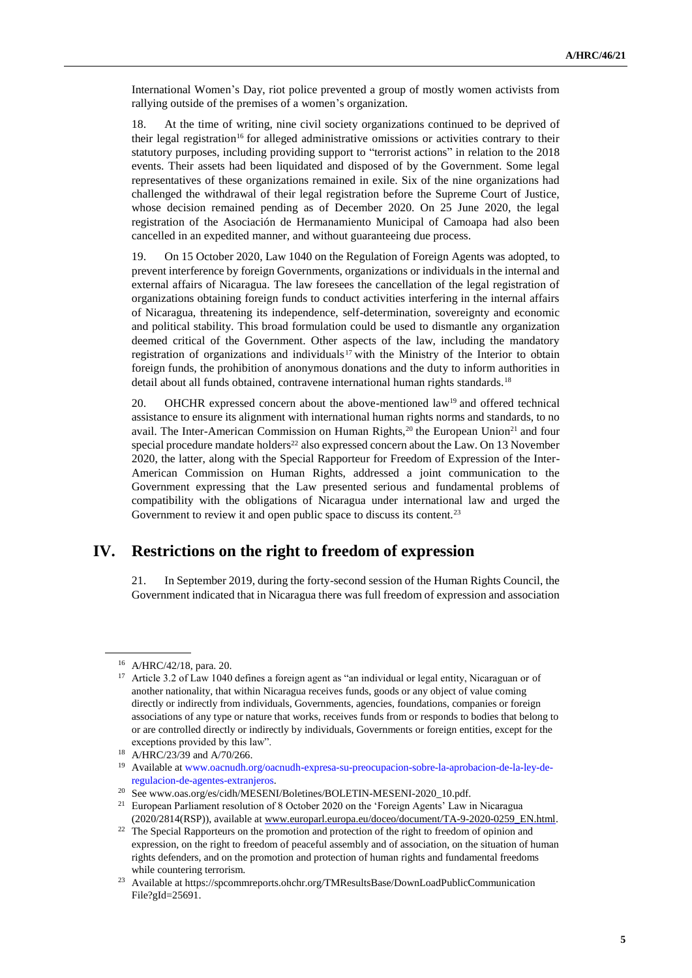International Women's Day, riot police prevented a group of mostly women activists from rallying outside of the premises of a women's organization.

18. At the time of writing, nine civil society organizations continued to be deprived of their legal registration<sup>16</sup> for alleged administrative omissions or activities contrary to their statutory purposes, including providing support to "terrorist actions" in relation to the 2018 events. Their assets had been liquidated and disposed of by the Government. Some legal representatives of these organizations remained in exile. Six of the nine organizations had challenged the withdrawal of their legal registration before the Supreme Court of Justice, whose decision remained pending as of December 2020. On 25 June 2020, the legal registration of the Asociación de Hermanamiento Municipal of Camoapa had also been cancelled in an expedited manner, and without guaranteeing due process.

19. On 15 October 2020, Law 1040 on the Regulation of Foreign Agents was adopted, to prevent interference by foreign Governments, organizations or individuals in the internal and external affairs of Nicaragua. The law foresees the cancellation of the legal registration of organizations obtaining foreign funds to conduct activities interfering in the internal affairs of Nicaragua, threatening its independence, self-determination, sovereignty and economic and political stability. This broad formulation could be used to dismantle any organization deemed critical of the Government. Other aspects of the law, including the mandatory registration of organizations and individuals<sup>17</sup> with the Ministry of the Interior to obtain foreign funds, the prohibition of anonymous donations and the duty to inform authorities in detail about all funds obtained, contravene international human rights standards.<sup>18</sup>

20. OHCHR expressed concern about the above-mentioned law<sup>19</sup> and offered technical assistance to ensure its alignment with international human rights norms and standards, to no avail. The Inter-American Commission on Human Rights,<sup>20</sup> the European Union<sup>21</sup> and four special procedure mandate holders<sup>22</sup> also expressed concern about the Law. On 13 November 2020, the latter, along with the Special Rapporteur for Freedom of Expression of the Inter-American Commission on Human Rights, addressed a joint communication to the Government expressing that the Law presented serious and fundamental problems of compatibility with the obligations of Nicaragua under international law and urged the Government to review it and open public space to discuss its content.<sup>23</sup>

#### **IV. Restrictions on the right to freedom of expression**

21. In September 2019, during the forty-second session of the Human Rights Council, the Government indicated that in Nicaragua there was full freedom of expression and association

<sup>16</sup> A/HRC/42/18, para. 20.

<sup>&</sup>lt;sup>17</sup> Article 3.2 of Law 1040 defines a foreign agent as "an individual or legal entity, Nicaraguan or of another nationality, that within Nicaragua receives funds, goods or any object of value coming directly or indirectly from individuals, Governments, agencies, foundations, companies or foreign associations of any type or nature that works, receives funds from or responds to bodies that belong to or are controlled directly or indirectly by individuals, Governments or foreign entities, except for the exceptions provided by this law".

<sup>18</sup> A/HRC/23/39 and A/70/266.

<sup>19</sup> Available at [www.oacnudh.org/oacnudh-expresa-su-preocupacion-sobre-la-aprobacion-de-la-ley-de](file://///conf-share1/LS/ENG/COMMON/FINAL/www.oacnudh.org/oacnudh-expresa-su-preocupacion-sobre-la-aprobacion-de-la-ley-de-regulacion-de-agentes-extranjeros)[regulacion-de-agentes-extranjeros.](file://///conf-share1/LS/ENG/COMMON/FINAL/www.oacnudh.org/oacnudh-expresa-su-preocupacion-sobre-la-aprobacion-de-la-ley-de-regulacion-de-agentes-extranjeros)

<sup>20</sup> See www.oas.org/es/cidh/MESENI/Boletines/BOLETIN-MESENI-2020\_10.pdf.

<sup>21</sup> European Parliament resolution of 8 October 2020 on the 'Foreign Agents' Law in Nicaragua (2020/2814(RSP)), available at [www.europarl.europa.eu/doceo/document/TA-9-2020-0259\\_EN.html.](https://www.europarl.europa.eu/doceo/document/TA-9-2020-0259_EN.html)

<sup>&</sup>lt;sup>22</sup> The Special Rapporteurs on the promotion and protection of the right to freedom of opinion and expression, on the right to freedom of peaceful assembly and of association, on the situation of human rights defenders, and on the promotion and protection of human rights and fundamental freedoms while countering terrorism.

<sup>23</sup> Available at [https://spcommreports.ohchr.org/TMResultsBase/DownLoadPublicCommunication](https://spcommreports.ohchr.org/TMResultsBase/DownLoadPublicCommunicationFile?gId=25691) [File?gId=25691.](https://spcommreports.ohchr.org/TMResultsBase/DownLoadPublicCommunicationFile?gId=25691)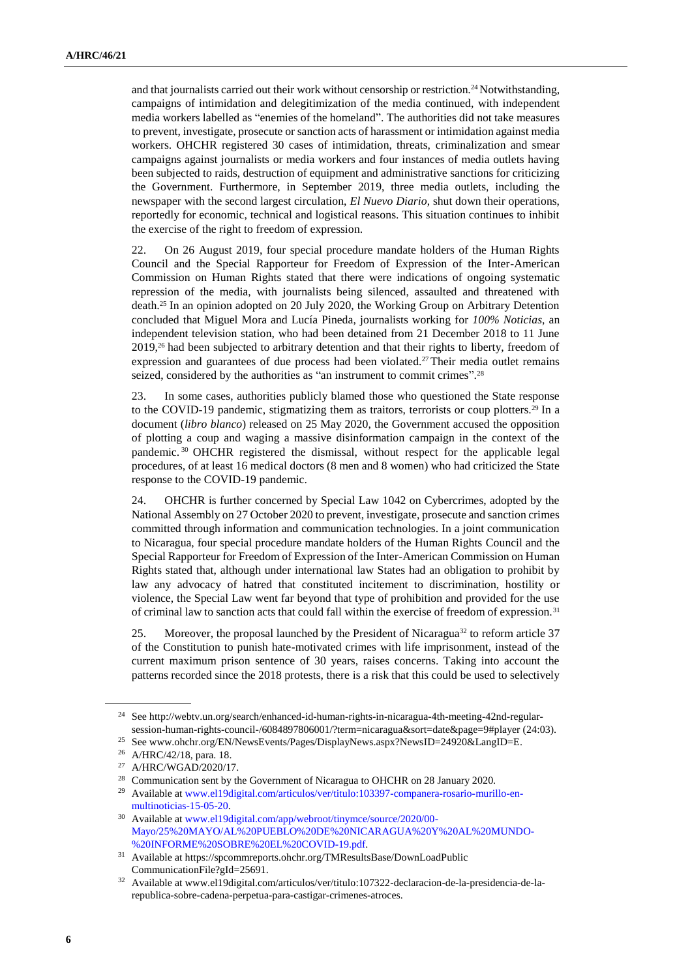and that journalists carried out their work without censorship or restriction.<sup>24</sup> Notwithstanding, campaigns of intimidation and delegitimization of the media continued, with independent media workers labelled as "enemies of the homeland". The authorities did not take measures to prevent, investigate, prosecute or sanction acts of harassment or intimidation against media workers. OHCHR registered 30 cases of intimidation, threats, criminalization and smear campaigns against journalists or media workers and four instances of media outlets having been subjected to raids, destruction of equipment and administrative sanctions for criticizing the Government. Furthermore, in September 2019, three media outlets, including the newspaper with the second largest circulation, *El Nuevo Diario*, shut down their operations, reportedly for economic, technical and logistical reasons. This situation continues to inhibit the exercise of the right to freedom of expression.

22. On 26 August 2019, four special procedure mandate holders of the Human Rights Council and the Special Rapporteur for Freedom of Expression of the Inter-American Commission on Human Rights stated that there were indications of ongoing systematic repression of the media, with journalists being silenced, assaulted and threatened with death.<sup>25</sup> In an opinion adopted on 20 July 2020, the Working Group on Arbitrary Detention concluded that Miguel Mora and Lucía Pineda, journalists working for *100% Noticias*, an independent television station, who had been detained from 21 December 2018 to 11 June 2019,<sup>26</sup> had been subjected to arbitrary detention and that their rights to liberty, freedom of expression and guarantees of due process had been violated.<sup>27</sup>Their media outlet remains seized, considered by the authorities as "an instrument to commit crimes".<sup>28</sup>

23. In some cases, authorities publicly blamed those who questioned the State response to the COVID-19 pandemic, stigmatizing them as traitors, terrorists or coup plotters.<sup>29</sup> In a document (*libro blanco*) released on 25 May 2020, the Government accused the opposition of plotting a coup and waging a massive disinformation campaign in the context of the pandemic. <sup>30</sup> OHCHR registered the dismissal, without respect for the applicable legal procedures, of at least 16 medical doctors (8 men and 8 women) who had criticized the State response to the COVID-19 pandemic.

24. OHCHR is further concerned by Special Law 1042 on Cybercrimes, adopted by the National Assembly on 27 October 2020 to prevent, investigate, prosecute and sanction crimes committed through information and communication technologies. In a joint communication to Nicaragua, four special procedure mandate holders of the Human Rights Council and the Special Rapporteur for Freedom of Expression of the Inter-American Commission on Human Rights stated that, although under international law States had an obligation to prohibit by law any advocacy of hatred that constituted incitement to discrimination, hostility or violence, the Special Law went far beyond that type of prohibition and provided for the use of criminal law to sanction acts that could fall within the exercise of freedom of expression.<sup>31</sup>

25. Moreover, the proposal launched by the President of Nicaragua<sup>32</sup> to reform article 37 of the Constitution to punish hate-motivated crimes with life imprisonment, instead of the current maximum prison sentence of 30 years, raises concerns. Taking into account the patterns recorded since the 2018 protests, there is a risk that this could be used to selectively

<sup>24</sup> Se[e http://webtv.un.org/search/enhanced-id-human-rights-in-nicaragua-4th-meeting-42nd-regular](http://webtv.un.org/search/enhanced-id-human-rights-in-nicaragua-4th-meeting-42nd-regular-session-human-rights-council-/6084897806001/?term=nicaragua&sort=date&page=9%252525252525252525252525252525252523player)[session-human-rights-council-/6084897806001/?term=nicaragua&sort=date&page=9#player](http://webtv.un.org/search/enhanced-id-human-rights-in-nicaragua-4th-meeting-42nd-regular-session-human-rights-council-/6084897806001/?term=nicaragua&sort=date&page=9%252525252525252525252525252525252523player) (24:03).

<sup>25</sup> Se[e www.ohchr.org/EN/NewsEvents/Pages/DisplayNews.aspx?NewsID=24920&LangID=E.](http://www.ohchr.org/EN/NewsEvents/Pages/DisplayNews.aspx?NewsID=24920&LangID=E)

<sup>26</sup> A/HRC/42/18, para. 18.

<sup>27</sup> A/HRC/WGAD/2020/17.

<sup>&</sup>lt;sup>28</sup> Communication sent by the Government of Nicaragua to OHCHR on 28 January 2020.

<sup>29</sup> Available at [www.el19digital.com/articulos/ver/titulo:103397-companera-rosario-murillo-en](http://www.el19digital.com/articulos/ver/titulo:103397-companera-rosario-murillo-en-multinoticias-15-05-20)[multinoticias-15-05-20.](http://www.el19digital.com/articulos/ver/titulo:103397-companera-rosario-murillo-en-multinoticias-15-05-20)

<sup>30</sup> Available at [www.el19digital.com/app/webroot/tinymce/source/2020/00-](http://www.el19digital.com/app/webroot/tinymce/source/2020/00-Mayo/25%20MAYO/AL%20PUEBLO%20DE%20NICARAGUA%20Y%20AL%20MUNDO-%20INFORME%20SOBRE%20EL%20COVID-19.pdf) [Mayo/25%20MAYO/AL%20PUEBLO%20DE%20NICARAGUA%20Y%20AL%20MUNDO-](http://www.el19digital.com/app/webroot/tinymce/source/2020/00-Mayo/25%20MAYO/AL%20PUEBLO%20DE%20NICARAGUA%20Y%20AL%20MUNDO-%20INFORME%20SOBRE%20EL%20COVID-19.pdf) [%20INFORME%20SOBRE%20EL%20COVID-19.pdf.](http://www.el19digital.com/app/webroot/tinymce/source/2020/00-Mayo/25%20MAYO/AL%20PUEBLO%20DE%20NICARAGUA%20Y%20AL%20MUNDO-%20INFORME%20SOBRE%20EL%20COVID-19.pdf)

<sup>31</sup> Available at [https://spcommreports.ohchr.org/TMResultsBase/DownLoadPublic](https://spcommreports.ohchr.org/TMResultsBase/DownLoadPublicCommunicationFile?gId=25691) [CommunicationFile?gId=25691.](https://spcommreports.ohchr.org/TMResultsBase/DownLoadPublicCommunicationFile?gId=25691)

<sup>32</sup> Available at www.el19digital.com/articulos/ver/titulo:107322-declaracion-de-la-presidencia-de-larepublica-sobre-cadena-perpetua-para-castigar-crimenes-atroces.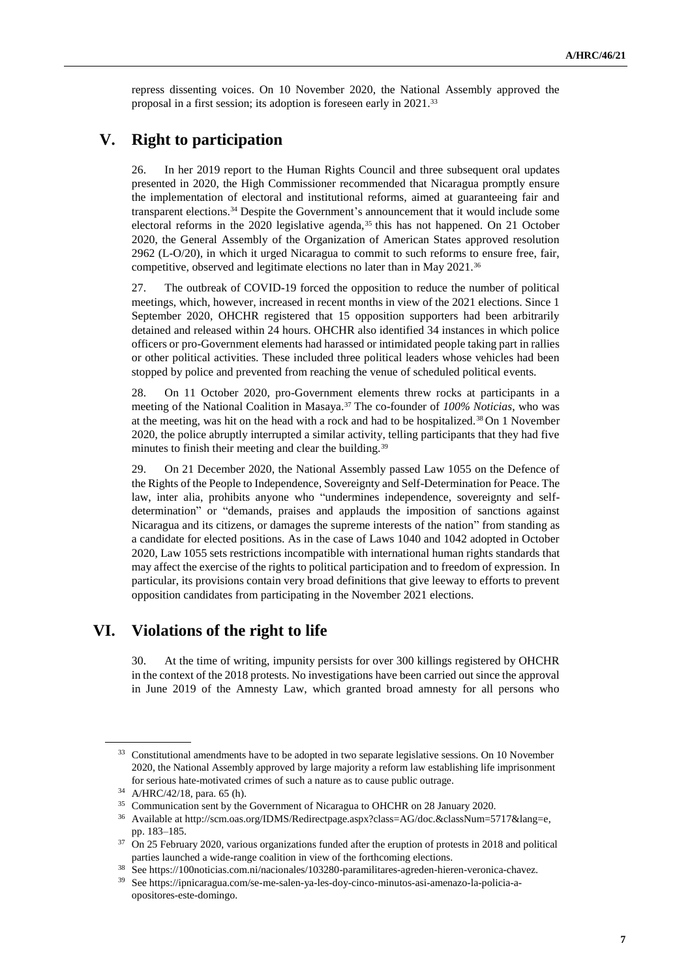repress dissenting voices. On 10 November 2020, the National Assembly approved the proposal in a first session; its adoption is foreseen early in 2021.<sup>33</sup>

#### **V. Right to participation**

26. In her 2019 report to the Human Rights Council and three subsequent oral updates presented in 2020, the High Commissioner recommended that Nicaragua promptly ensure the implementation of electoral and institutional reforms, aimed at guaranteeing fair and transparent elections.<sup>34</sup> Despite the Government's announcement that it would include some electoral reforms in the 2020 legislative agenda,<sup>35</sup> this has not happened. On 21 October 2020, the General Assembly of the Organization of American States approved resolution 2962 (L-O/20), in which it urged Nicaragua to commit to such reforms to ensure free, fair, competitive, observed and legitimate elections no later than in May 2021.<sup>36</sup>

27. The outbreak of COVID-19 forced the opposition to reduce the number of political meetings, which, however, increased in recent months in view of the 2021 elections. Since 1 September 2020, OHCHR registered that 15 opposition supporters had been arbitrarily detained and released within 24 hours. OHCHR also identified 34 instances in which police officers or pro-Government elements had harassed or intimidated people taking part in rallies or other political activities. These included three political leaders whose vehicles had been stopped by police and prevented from reaching the venue of scheduled political events.

28. On 11 October 2020, pro-Government elements threw rocks at participants in a meeting of the National Coalition in Masaya.<sup>37</sup> The co-founder of *100% Noticias*, who was at the meeting, was hit on the head with a rock and had to be hospitalized.<sup>38</sup> On 1 November 2020, the police abruptly interrupted a similar activity, telling participants that they had five minutes to finish their meeting and clear the building.<sup>39</sup>

29. On 21 December 2020, the National Assembly passed Law 1055 on the Defence of the Rights of the People to Independence, Sovereignty and Self-Determination for Peace. The law, inter alia, prohibits anyone who "undermines independence, sovereignty and selfdetermination" or "demands, praises and applauds the imposition of sanctions against Nicaragua and its citizens, or damages the supreme interests of the nation" from standing as a candidate for elected positions. As in the case of Laws 1040 and 1042 adopted in October 2020, Law 1055 sets restrictions incompatible with international human rights standards that may affect the exercise of the rights to political participation and to freedom of expression. In particular, its provisions contain very broad definitions that give leeway to efforts to prevent opposition candidates from participating in the November 2021 elections.

#### **VI. Violations of the right to life**

30. At the time of writing, impunity persists for over 300 killings registered by OHCHR in the context of the 2018 protests. No investigations have been carried out since the approval in June 2019 of the Amnesty Law, which granted broad amnesty for all persons who

<sup>&</sup>lt;sup>33</sup> Constitutional amendments have to be adopted in two separate legislative sessions. On 10 November 2020, the National Assembly approved by large majority a reform law establishing life imprisonment for serious hate-motivated crimes of such a nature as to cause public outrage.

<sup>34</sup> A/HRC/42/18, para. 65 (h).

<sup>&</sup>lt;sup>35</sup> Communication sent by the Government of Nicaragua to OHCHR on 28 January 2020.

<sup>36</sup> Available at [http://scm.oas.org/IDMS/Redirectpage.aspx?class=AG/doc.&classNum=5717&lang=e,](http://scm.oas.org/IDMS/Redirectpage.aspx?class=AG/doc.&classNum=5717&lang=e) pp. 183–185.

<sup>&</sup>lt;sup>37</sup> On 25 February 2020, various organizations funded after the eruption of protests in 2018 and political parties launched a wide-range coalition in view of the forthcoming elections.

<sup>38</sup> See https://100noticias.com.ni/nacionales/103280-paramilitares-agreden-hieren-veronica-chavez.

<sup>39</sup> See https://ipnicaragua.com/se-me-salen-ya-les-doy-cinco-minutos-asi-amenazo-la-policia-aopositores-este-domingo.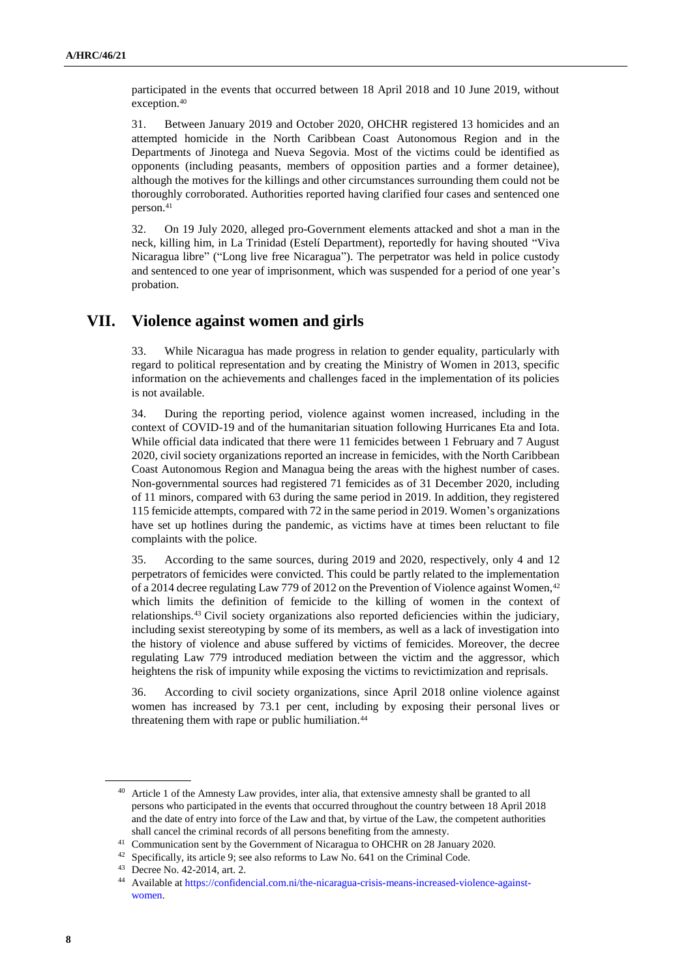participated in the events that occurred between 18 April 2018 and 10 June 2019, without exception.<sup>40</sup>

31. Between January 2019 and October 2020, OHCHR registered 13 homicides and an attempted homicide in the North Caribbean Coast Autonomous Region and in the Departments of Jinotega and Nueva Segovia. Most of the victims could be identified as opponents (including peasants, members of opposition parties and a former detainee), although the motives for the killings and other circumstances surrounding them could not be thoroughly corroborated. Authorities reported having clarified four cases and sentenced one person.<sup>41</sup>

32. On 19 July 2020, alleged pro-Government elements attacked and shot a man in the neck, killing him, in La Trinidad (Estelí Department), reportedly for having shouted "Viva Nicaragua libre" ("Long live free Nicaragua"). The perpetrator was held in police custody and sentenced to one year of imprisonment, which was suspended for a period of one year's probation.

#### **VII. Violence against women and girls**

33. While Nicaragua has made progress in relation to gender equality, particularly with regard to political representation and by creating the Ministry of Women in 2013, specific information on the achievements and challenges faced in the implementation of its policies is not available.

34. During the reporting period, violence against women increased, including in the context of COVID-19 and of the humanitarian situation following Hurricanes Eta and Iota. While official data indicated that there were 11 femicides between 1 February and 7 August 2020, civil society organizations reported an increase in femicides, with the North Caribbean Coast Autonomous Region and Managua being the areas with the highest number of cases. Non-governmental sources had registered 71 femicides as of 31 December 2020, including of 11 minors, compared with 63 during the same period in 2019. In addition, they registered 115 femicide attempts, compared with 72 in the same period in 2019. Women's organizations have set up hotlines during the pandemic, as victims have at times been reluctant to file complaints with the police.

35. According to the same sources, during 2019 and 2020, respectively, only 4 and 12 perpetrators of femicides were convicted. This could be partly related to the implementation of a 2014 decree regulating Law 779 of 2012 on the Prevention of Violence against Women,<sup>42</sup> which limits the definition of femicide to the killing of women in the context of relationships.<sup>43</sup> Civil society organizations also reported deficiencies within the judiciary, including sexist stereotyping by some of its members, as well as a lack of investigation into the history of violence and abuse suffered by victims of femicides. Moreover, the decree regulating Law 779 introduced mediation between the victim and the aggressor, which heightens the risk of impunity while exposing the victims to revictimization and reprisals.

36. According to civil society organizations, since April 2018 online violence against women has increased by 73.1 per cent, including by exposing their personal lives or threatening them with rape or public humiliation.<sup>44</sup>

<sup>&</sup>lt;sup>40</sup> Article 1 of the Amnesty Law provides, inter alia, that extensive amnesty shall be granted to all persons who participated in the events that occurred throughout the country between 18 April 2018 and the date of entry into force of the Law and that, by virtue of the Law, the competent authorities shall cancel the criminal records of all persons benefiting from the amnesty.

<sup>&</sup>lt;sup>41</sup> Communication sent by the Government of Nicaragua to OHCHR on 28 January 2020.

<sup>42</sup> Specifically, its article 9; see also reforms to Law No. 641 on the Criminal Code.

<sup>43</sup> Decree No. 42-2014, art. 2.

<sup>44</sup> Available at [https://confidencial.com.ni/the-nicaragua-crisis-means-increased-violence-against](https://confidencial.com.ni/the-nicaragua-crisis-means-increased-violence-against-women/)[women.](https://confidencial.com.ni/the-nicaragua-crisis-means-increased-violence-against-women/)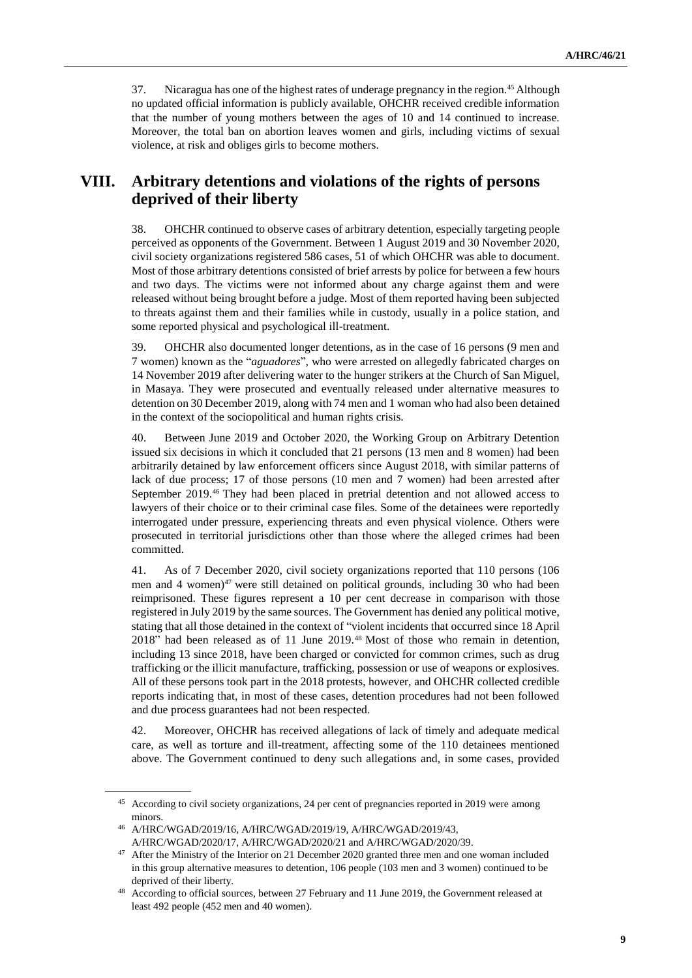37. Nicaragua has one of the highest rates of underage pregnancy in the region.<sup>45</sup> Although no updated official information is publicly available, OHCHR received credible information that the number of young mothers between the ages of 10 and 14 continued to increase. Moreover, the total ban on abortion leaves women and girls, including victims of sexual violence, at risk and obliges girls to become mothers.

# **VIII. Arbitrary detentions and violations of the rights of persons deprived of their liberty**

38. OHCHR continued to observe cases of arbitrary detention, especially targeting people perceived as opponents of the Government. Between 1 August 2019 and 30 November 2020, civil society organizations registered 586 cases, 51 of which OHCHR was able to document. Most of those arbitrary detentions consisted of brief arrests by police for between a few hours and two days. The victims were not informed about any charge against them and were released without being brought before a judge. Most of them reported having been subjected to threats against them and their families while in custody, usually in a police station, and some reported physical and psychological ill-treatment.

39. OHCHR also documented longer detentions, as in the case of 16 persons (9 men and 7 women) known as the "*aguadores*", who were arrested on allegedly fabricated charges on 14 November 2019 after delivering water to the hunger strikers at the Church of San Miguel, in Masaya. They were prosecuted and eventually released under alternative measures to detention on 30 December 2019, along with 74 men and 1 woman who had also been detained in the context of the sociopolitical and human rights crisis.

40. Between June 2019 and October 2020, the Working Group on Arbitrary Detention issued six decisions in which it concluded that 21 persons (13 men and 8 women) had been arbitrarily detained by law enforcement officers since August 2018, with similar patterns of lack of due process; 17 of those persons (10 men and 7 women) had been arrested after September 2019.<sup>46</sup> They had been placed in pretrial detention and not allowed access to lawyers of their choice or to their criminal case files. Some of the detainees were reportedly interrogated under pressure, experiencing threats and even physical violence. Others were prosecuted in territorial jurisdictions other than those where the alleged crimes had been committed.

41. As of 7 December 2020, civil society organizations reported that 110 persons (106 men and 4 women) $4^7$  were still detained on political grounds, including 30 who had been reimprisoned. These figures represent a 10 per cent decrease in comparison with those registered in July 2019 by the same sources. The Government has denied any political motive, stating that all those detained in the context of "violent incidents that occurred since 18 April 2018" had been released as of 11 June 2019.<sup>48</sup> Most of those who remain in detention, including 13 since 2018, have been charged or convicted for common crimes, such as drug trafficking or the illicit manufacture, trafficking, possession or use of weapons or explosives. All of these persons took part in the 2018 protests, however, and OHCHR collected credible reports indicating that, in most of these cases, detention procedures had not been followed and due process guarantees had not been respected.

42. Moreover, OHCHR has received allegations of lack of timely and adequate medical care, as well as torture and ill-treatment, affecting some of the 110 detainees mentioned above. The Government continued to deny such allegations and, in some cases, provided

<sup>&</sup>lt;sup>45</sup> According to civil society organizations, 24 per cent of pregnancies reported in 2019 were among minors.

<sup>46</sup> A/HRC/WGAD/2019/16, A/HRC/WGAD/2019/19, A/HRC/WGAD/2019/43, A/HRC/WGAD/2020/17, A/HRC/WGAD/2020/21 and A/HRC/WGAD/2020/39.

<sup>&</sup>lt;sup>47</sup> After the Ministry of the Interior on 21 December 2020 granted three men and one woman included in this group alternative measures to detention, 106 people (103 men and 3 women) continued to be deprived of their liberty.

<sup>48</sup> According to official sources, between 27 February and 11 June 2019, the Government released at least 492 people (452 men and 40 women).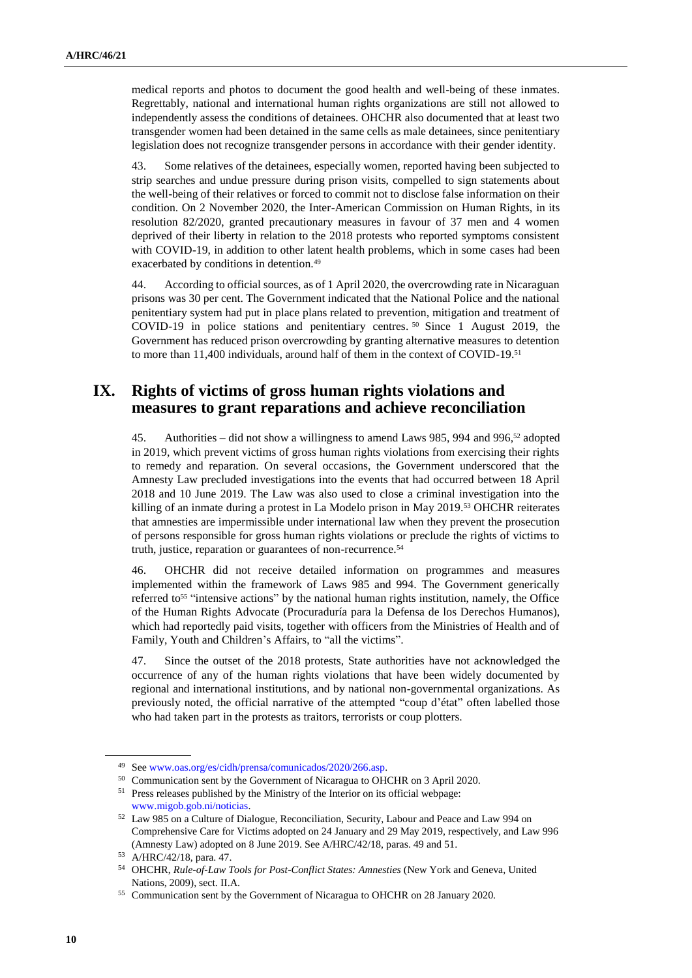medical reports and photos to document the good health and well-being of these inmates. Regrettably, national and international human rights organizations are still not allowed to independently assess the conditions of detainees. OHCHR also documented that at least two transgender women had been detained in the same cells as male detainees, since penitentiary legislation does not recognize transgender persons in accordance with their gender identity.

43. Some relatives of the detainees, especially women, reported having been subjected to strip searches and undue pressure during prison visits, compelled to sign statements about the well-being of their relatives or forced to commit not to disclose false information on their condition. On 2 November 2020, the Inter-American Commission on Human Rights, in its resolution 82/2020, granted precautionary measures in favour of 37 men and 4 women deprived of their liberty in relation to the 2018 protests who reported symptoms consistent with COVID-19, in addition to other latent health problems, which in some cases had been exacerbated by conditions in detention.<sup>49</sup>

44. According to official sources, as of 1 April 2020, the overcrowding rate in Nicaraguan prisons was 30 per cent. The Government indicated that the National Police and the national penitentiary system had put in place plans related to prevention, mitigation and treatment of COVID-19 in police stations and penitentiary centres. <sup>50</sup> Since 1 August 2019, the Government has reduced prison overcrowding by granting alternative measures to detention to more than 11,400 individuals, around half of them in the context of COVID-19.<sup>51</sup>

## **IX. Rights of victims of gross human rights violations and measures to grant reparations and achieve reconciliation**

45. Authorities – did not show a willingness to amend Laws 985, 994 and 996,<sup>52</sup> adopted in 2019, which prevent victims of gross human rights violations from exercising their rights to remedy and reparation. On several occasions, the Government underscored that the Amnesty Law precluded investigations into the events that had occurred between 18 April 2018 and 10 June 2019. The Law was also used to close a criminal investigation into the killing of an inmate during a protest in La Modelo prison in May 2019.<sup>53</sup> OHCHR reiterates that amnesties are impermissible under international law when they prevent the prosecution of persons responsible for gross human rights violations or preclude the rights of victims to truth, justice, reparation or guarantees of non-recurrence.<sup>54</sup>

46. OHCHR did not receive detailed information on programmes and measures implemented within the framework of Laws 985 and 994. The Government generically referred to<sup>55</sup> "intensive actions" by the national human rights institution, namely, the Office of the Human Rights Advocate (Procuraduría para la Defensa de los Derechos Humanos), which had reportedly paid visits, together with officers from the Ministries of Health and of Family, Youth and Children's Affairs, to "all the victims".

47. Since the outset of the 2018 protests, State authorities have not acknowledged the occurrence of any of the human rights violations that have been widely documented by regional and international institutions, and by national non-governmental organizations. As previously noted, the official narrative of the attempted "coup d'état" often labelled those who had taken part in the protests as traitors, terrorists or coup plotters.

<sup>49</sup> Se[e www.oas.org/es/cidh/prensa/comunicados/2020/266.asp.](file://///conf-share1/LS/ENG/COMMON/FINAL/www.oas.org/es/cidh/prensa/comunicados/2020/266.asp)

<sup>50</sup> Communication sent by the Government of Nicaragua to OHCHR on 3 April 2020.

<sup>51</sup> Press releases published by the Ministry of the Interior on its official webpage: [www.migob.gob.ni/noticias.](http://www.migob.gob.ni/noticias/)

<sup>52</sup> Law 985 on a Culture of Dialogue, Reconciliation, Security, Labour and Peace and Law 994 on Comprehensive Care for Victims adopted on 24 January and 29 May 2019, respectively, and Law 996 (Amnesty Law) adopted on 8 June 2019. See A/HRC/42/18, paras. 49 and 51.

<sup>53</sup> A/HRC/42/18, para. 47.

<sup>54</sup> OHCHR, *Rule-of-Law Tools for Post-Conflict States: Amnesties* (New York and Geneva, United Nations, 2009), sect. II.A.

<sup>55</sup> Communication sent by the Government of Nicaragua to OHCHR on 28 January 2020.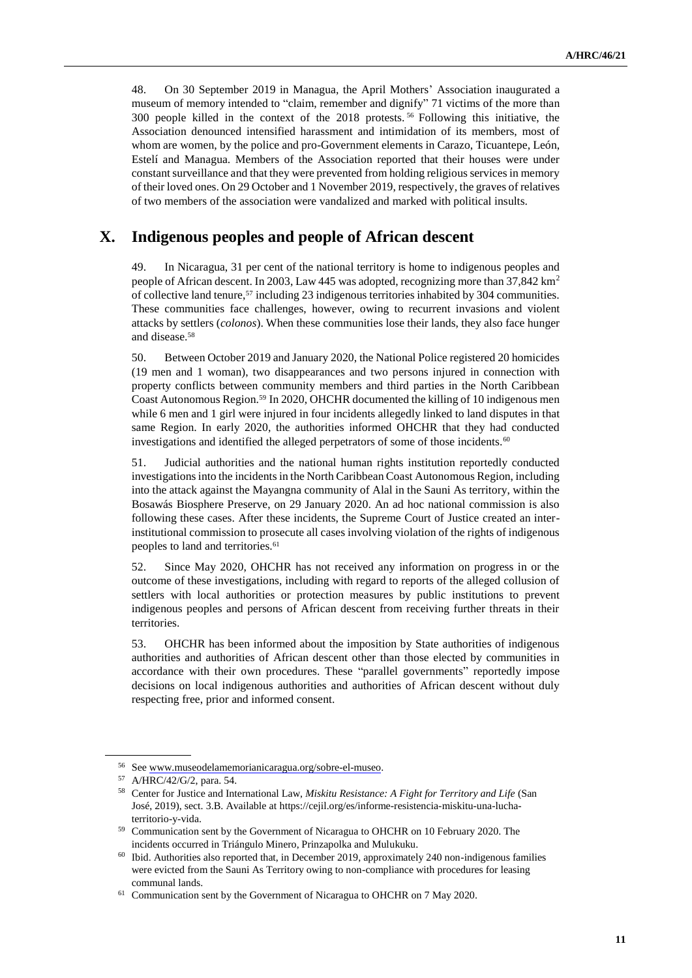48. On 30 September 2019 in Managua, the April Mothers' Association inaugurated a museum of memory intended to "claim, remember and dignify" 71 victims of the more than 300 people killed in the context of the 2018 protests. <sup>56</sup> Following this initiative, the Association denounced intensified harassment and intimidation of its members, most of whom are women, by the police and pro-Government elements in Carazo, Ticuantepe, León, Estelí and Managua. Members of the Association reported that their houses were under constant surveillance and that they were prevented from holding religious services in memory of their loved ones. On 29 October and 1 November 2019, respectively, the graves of relatives of two members of the association were vandalized and marked with political insults.

# **X. Indigenous peoples and people of African descent**

49. In Nicaragua, 31 per cent of the national territory is home to indigenous peoples and people of African descent. In 2003, Law 445 was adopted, recognizing more than 37,842 km<sup>2</sup> of collective land tenure, $57$  including 23 indigenous territories inhabited by 304 communities. These communities face challenges, however, owing to recurrent invasions and violent attacks by settlers (*colonos*). When these communities lose their lands, they also face hunger and disease.<sup>58</sup>

50. Between October 2019 and January 2020, the National Police registered 20 homicides (19 men and 1 woman), two disappearances and two persons injured in connection with property conflicts between community members and third parties in the North Caribbean Coast Autonomous Region.<sup>59</sup> In 2020, OHCHR documented the killing of 10 indigenous men while 6 men and 1 girl were injured in four incidents allegedly linked to land disputes in that same Region. In early 2020, the authorities informed OHCHR that they had conducted investigations and identified the alleged perpetrators of some of those incidents.<sup>60</sup>

51. Judicial authorities and the national human rights institution reportedly conducted investigations into the incidents in the North Caribbean Coast Autonomous Region, including into the attack against the Mayangna community of Alal in the Sauni As territory, within the Bosawás Biosphere Preserve, on 29 January 2020. An ad hoc national commission is also following these cases. After these incidents, the Supreme Court of Justice created an interinstitutional commission to prosecute all cases involving violation of the rights of indigenous peoples to land and territories.<sup>61</sup>

52. Since May 2020, OHCHR has not received any information on progress in or the outcome of these investigations, including with regard to reports of the alleged collusion of settlers with local authorities or protection measures by public institutions to prevent indigenous peoples and persons of African descent from receiving further threats in their territories.

53. OHCHR has been informed about the imposition by State authorities of indigenous authorities and authorities of African descent other than those elected by communities in accordance with their own procedures. These "parallel governments" reportedly impose decisions on local indigenous authorities and authorities of African descent without duly respecting free, prior and informed consent.

<sup>56</sup> Se[e www.museodelamemorianicaragua.org/sobre-el-museo.](http://www.museodelamemorianicaragua.org/sobre-el-museo/)

<sup>57</sup> A/HRC/42/G/2, para. 54.

<sup>58</sup> Center for Justice and International Law, *Miskitu Resistance: A Fight for Territory and Life* (San José, 2019), sect. 3.B. Available a[t https://cejil.org/es/informe-resistencia-miskitu-una-lucha](https://cejil.org/es/informe-resistencia-miskitu-una-lucha-territorio-y-vida)[territorio-y-vida.](https://cejil.org/es/informe-resistencia-miskitu-una-lucha-territorio-y-vida)

<sup>&</sup>lt;sup>59</sup> Communication sent by the Government of Nicaragua to OHCHR on 10 February 2020. The incidents occurred in Triángulo Minero, Prinzapolka and Mulukuku.

<sup>&</sup>lt;sup>60</sup> Ibid. Authorities also reported that, in December 2019, approximately 240 non-indigenous families were evicted from the Sauni As Territory owing to non-compliance with procedures for leasing communal lands.

<sup>&</sup>lt;sup>61</sup> Communication sent by the Government of Nicaragua to OHCHR on 7 May 2020.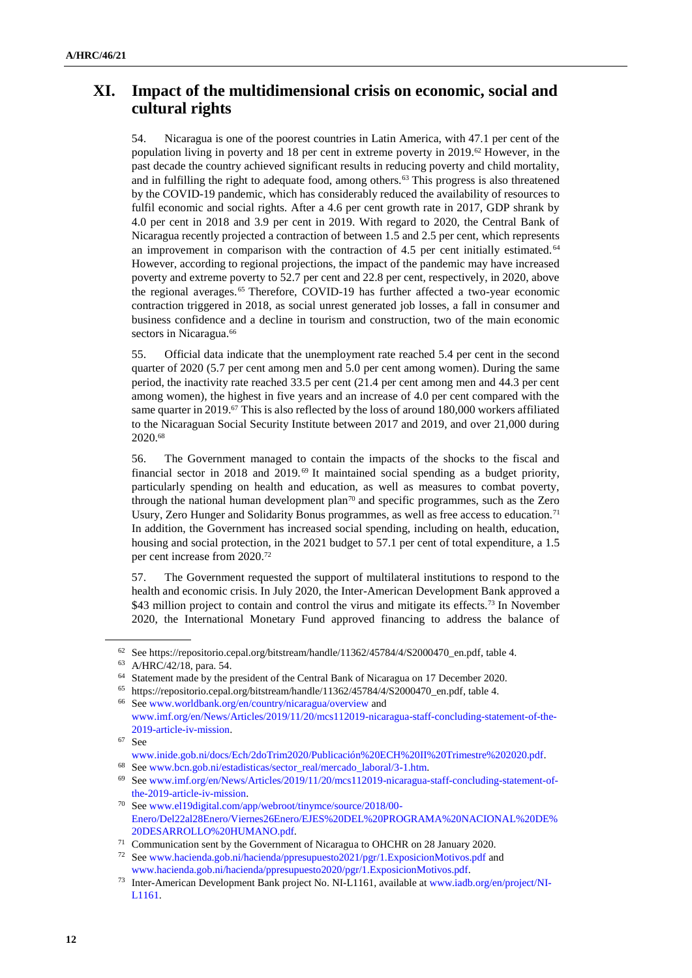# **XI. Impact of the multidimensional crisis on economic, social and cultural rights**

54. Nicaragua is one of the poorest countries in Latin America, with 47.1 per cent of the population living in poverty and 18 per cent in extreme poverty in 2019.<sup>62</sup> However, in the past decade the country achieved significant results in reducing poverty and child mortality, and in fulfilling the right to adequate food, among others.<sup>63</sup> This progress is also threatened by the COVID-19 pandemic, which has considerably reduced the availability of resources to fulfil economic and social rights. After a 4.6 per cent growth rate in 2017, GDP shrank by 4.0 per cent in 2018 and 3.9 per cent in 2019. With regard to 2020, the Central Bank of Nicaragua recently projected a contraction of between 1.5 and 2.5 per cent, which represents an improvement in comparison with the contraction of 4.5 per cent initially estimated. <sup>64</sup> However, according to regional projections, the impact of the pandemic may have increased poverty and extreme poverty to 52.7 per cent and 22.8 per cent, respectively, in 2020, above the regional averages.<sup>65</sup> Therefore, COVID-19 has further affected a two-year economic contraction triggered in 2018, as social unrest generated job losses, a fall in consumer and business confidence and a decline in tourism and construction, two of the main economic sectors in Nicaragua.<sup>66</sup>

55. Official data indicate that the unemployment rate reached 5.4 per cent in the second quarter of 2020 (5.7 per cent among men and 5.0 per cent among women). During the same period, the inactivity rate reached 33.5 per cent (21.4 per cent among men and 44.3 per cent among women), the highest in five years and an increase of 4.0 per cent compared with the same quarter in 2019.<sup>67</sup> This is also reflected by the loss of around 180,000 workers affiliated to the Nicaraguan Social Security Institute between 2017 and 2019, and over 21,000 during 2020.<sup>68</sup>

56. The Government managed to contain the impacts of the shocks to the fiscal and financial sector in 2018 and 2019.<sup> $\omega$ </sup> It maintained social spending as a budget priority, particularly spending on health and education, as well as measures to combat poverty, through the national human development plan<sup>70</sup> and specific programmes, such as the Zero Usury, Zero Hunger and Solidarity Bonus programmes, as well as free access to education.<sup>71</sup> In addition, the Government has increased social spending, including on health, education, housing and social protection, in the 2021 budget to 57.1 per cent of total expenditure, a 1.5 per cent increase from 2020.<sup>72</sup>

57. The Government requested the support of multilateral institutions to respond to the health and economic crisis. In July 2020, the Inter-American Development Bank approved a \$43 million project to contain and control the virus and mitigate its effects.<sup>73</sup> In November 2020, the International Monetary Fund approved financing to address the balance of

<sup>62</sup> Se[e https://repositorio.cepal.org/bitstream/handle/11362/45784/4/S2000470\\_en.pdf,](https://repositorio.cepal.org/bitstream/handle/11362/45784/4/S2000470_en.pdf) table 4.

<sup>63</sup> A/HRC/42/18, para. 54.

<sup>&</sup>lt;sup>64</sup> Statement made by the president of the Central Bank of Nicaragua on 17 December 2020.

<sup>65</sup> [https://repositorio.cepal.org/bitstream/handle/11362/45784/4/S2000470\\_en.pdf,](https://repositorio.cepal.org/bitstream/handle/11362/45784/4/S2000470_en.pdf) table 4. <sup>66</sup> Se[e www.worldbank.org/en/country/nicaragua/overview](http://www.worldbank.org/en/country/nicaragua/overview) and

[www.imf.org/en/News/Articles/2019/11/20/mcs112019-nicaragua-staff-concluding-statement-of-the-](http://www.imf.org/en/News/Articles/2019/11/20/mcs112019-nicaragua-staff-concluding-statement-of-the-2019-article-iv-mission)[2019-article-iv-mission.](http://www.imf.org/en/News/Articles/2019/11/20/mcs112019-nicaragua-staff-concluding-statement-of-the-2019-article-iv-mission)

<sup>67</sup> See

[www.inide.gob.ni/docs/Ech/2doTrim2020/Publicación%20ECH%20II%20Trimestre%202020.pdf.](http://www.inide.gob.ni/docs/Ech/2doTrim2020/Publicación%20ECH%20II%20Trimestre%202020.pdf) <sup>68</sup> Se[e www.bcn.gob.ni/estadisticas/sector\\_real/mercado\\_laboral/3-1.htm.](http://www.bcn.gob.ni/estadisticas/sector_real/mercado_laboral/3-1.htm)

<sup>69</sup> Se[e www.imf.org/en/News/Articles/2019/11/20/mcs112019-nicaragua-staff-concluding-statement-of](http://www.imf.org/en/News/Articles/2019/11/20/mcs112019-nicaragua-staff-concluding-statement-of-the-2019-article-iv-mission)[the-2019-article-iv-mission.](http://www.imf.org/en/News/Articles/2019/11/20/mcs112019-nicaragua-staff-concluding-statement-of-the-2019-article-iv-mission)

<sup>70</sup> Se[e www.el19digital.com/app/webroot/tinymce/source/2018/00-](http://www.el19digital.com/app/webroot/tinymce/source/2018/00-Enero/Del22al28Enero/Viernes26Enero/EJES%20DEL%20PROGRAMA%20NACIONAL%20DE%20DESARROLLO%20HUMANO.pdf) [Enero/Del22al28Enero/Viernes26Enero/EJES%20DEL%20PROGRAMA%20NACIONAL%20DE%](http://www.el19digital.com/app/webroot/tinymce/source/2018/00-Enero/Del22al28Enero/Viernes26Enero/EJES%20DEL%20PROGRAMA%20NACIONAL%20DE%20DESARROLLO%20HUMANO.pdf) [20DESARROLLO%20HUMANO.pdf.](http://www.el19digital.com/app/webroot/tinymce/source/2018/00-Enero/Del22al28Enero/Viernes26Enero/EJES%20DEL%20PROGRAMA%20NACIONAL%20DE%20DESARROLLO%20HUMANO.pdf)

<sup>71</sup> Communication sent by the Government of Nicaragua to OHCHR on 28 January 2020.

<sup>72</sup> Se[e www.hacienda.gob.ni/hacienda/ppresupuesto2021/pgr/1.ExposicionMotivos.pdf](file://///conf-share1/LS/ENG/COMMON/FINAL/www.hacienda.gob.ni/hacienda/ppresupuesto2021/pgr/1.ExposicionMotivos.pdf) and [www.hacienda.gob.ni/hacienda/ppresupuesto2020/pgr/1.ExposicionMotivos.pdf.](file://///conf-share1/LS/ENG/COMMON/FINAL/www.hacienda.gob.ni/hacienda/ppresupuesto2020/pgr/1.ExposicionMotivos.pdf)

<sup>73</sup> Inter-American Development Bank project No. NI-L1161, available at [www.iadb.org/en/project/NI-](http://www.iadb.org/en/project/NI-L1161)[L1161.](http://www.iadb.org/en/project/NI-L1161)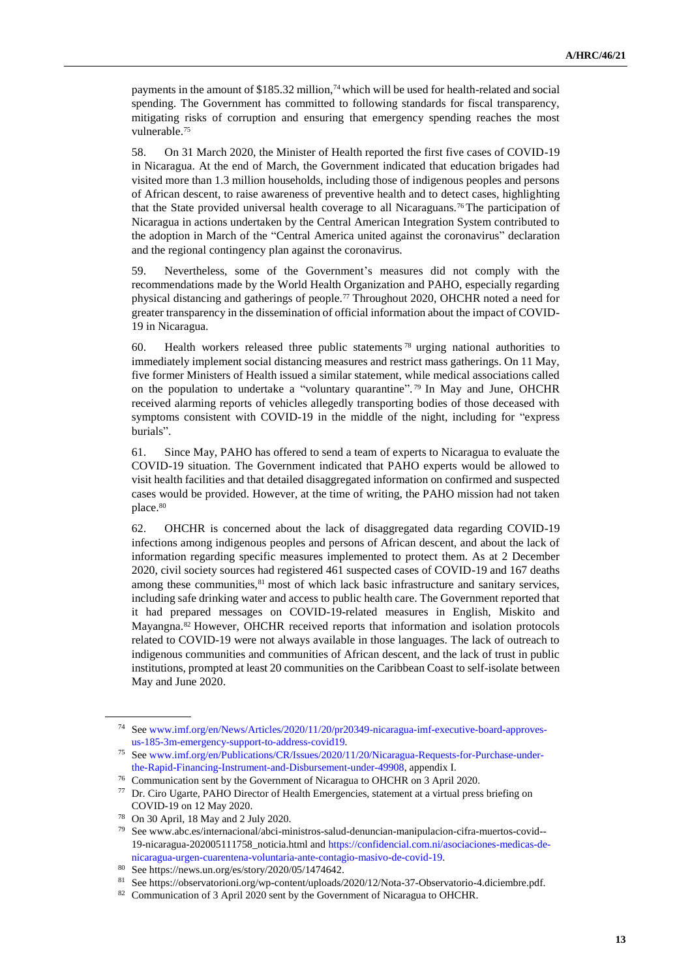payments in the amount of \$185.32 million,<sup>74</sup> which will be used for health-related and social spending. The Government has committed to following standards for fiscal transparency, mitigating risks of corruption and ensuring that emergency spending reaches the most vulnerable.<sup>75</sup>

58. On 31 March 2020, the Minister of Health reported the first five cases of COVID-19 in Nicaragua. At the end of March, the Government indicated that education brigades had visited more than 1.3 million households, including those of indigenous peoples and persons of African descent, to raise awareness of preventive health and to detect cases, highlighting that the State provided universal health coverage to all Nicaraguans.76The participation of Nicaragua in actions undertaken by the Central American Integration System contributed to the adoption in March of the "Central America united against the coronavirus" declaration and the regional contingency plan against the coronavirus.

59. Nevertheless, some of the Government's measures did not comply with the recommendations made by the World Health Organization and PAHO, especially regarding physical distancing and gatherings of people.<sup>77</sup> Throughout 2020, OHCHR noted a need for greater transparency in the dissemination of official information about the impact of COVID-19 in Nicaragua.

60. Health workers released three public statements <sup>78</sup> urging national authorities to immediately implement social distancing measures and restrict mass gatherings. On 11 May, five former Ministers of Health issued a similar statement, while medical associations called on the population to undertake a "voluntary quarantine". <sup>79</sup> In May and June, OHCHR received alarming reports of vehicles allegedly transporting bodies of those deceased with symptoms consistent with COVID-19 in the middle of the night, including for "express burials".

61. Since May, PAHO has offered to send a team of experts to Nicaragua to evaluate the COVID-19 situation. The Government indicated that PAHO experts would be allowed to visit health facilities and that detailed disaggregated information on confirmed and suspected cases would be provided. However, at the time of writing, the PAHO mission had not taken place.<sup>80</sup>

62. OHCHR is concerned about the lack of disaggregated data regarding COVID-19 infections among indigenous peoples and persons of African descent, and about the lack of information regarding specific measures implemented to protect them. As at 2 December 2020, civil society sources had registered 461 suspected cases of COVID-19 and 167 deaths among these communities,  $81$  most of which lack basic infrastructure and sanitary services, including safe drinking water and access to public health care. The Government reported that it had prepared messages on COVID-19-related measures in English, Miskito and Mayangna.<sup>82</sup> However, OHCHR received reports that information and isolation protocols related to COVID-19 were not always available in those languages. The lack of outreach to indigenous communities and communities of African descent, and the lack of trust in public institutions, prompted at least 20 communities on the Caribbean Coast to self-isolate between May and June 2020.

<sup>74</sup> Se[e www.imf.org/en/News/Articles/2020/11/20/pr20349-nicaragua-imf-executive-board-approves](http://www.imf.org/en/News/Articles/2020/11/20/pr20349-nicaragua-imf-executive-board-approves-us-185-3m-emergency-support-to-address-covid19)[us-185-3m-emergency-support-to-address-covid19.](http://www.imf.org/en/News/Articles/2020/11/20/pr20349-nicaragua-imf-executive-board-approves-us-185-3m-emergency-support-to-address-covid19)

<sup>75</sup> Se[e www.imf.org/en/Publications/CR/Issues/2020/11/20/Nicaragua-Requests-for-Purchase-under](http://www.imf.org/en/Publications/CR/Issues/2020/11/20/Nicaragua-Requests-for-Purchase-under-the-Rapid-Financing-Instrument-and-Disbursement-under-49908)[the-Rapid-Financing-Instrument-and-Disbursement-under-49908,](http://www.imf.org/en/Publications/CR/Issues/2020/11/20/Nicaragua-Requests-for-Purchase-under-the-Rapid-Financing-Instrument-and-Disbursement-under-49908) appendix I.

<sup>&</sup>lt;sup>76</sup> Communication sent by the Government of Nicaragua to OHCHR on 3 April 2020.

<sup>77</sup> Dr. Ciro Ugarte, PAHO Director of Health Emergencies, statement at a virtual press briefing on COVID-19 on 12 May 2020.

<sup>78</sup> On 30 April, 18 May and 2 July 2020.

<sup>79</sup> See www.abc.es/internacional/abci-ministros-salud-denuncian-manipulacion-cifra-muertos-covid-- 19-nicaragua-202005111758\_noticia.html an[d https://confidencial.com.ni/asociaciones-medicas-de](https://confidencial.com.ni/asociaciones-medicas-de-nicaragua-urgen-cuarentena-voluntaria-ante-contagio-masivo-de-covid-19)[nicaragua-urgen-cuarentena-voluntaria-ante-contagio-masivo-de-covid-19.](https://confidencial.com.ni/asociaciones-medicas-de-nicaragua-urgen-cuarentena-voluntaria-ante-contagio-masivo-de-covid-19)

<sup>80</sup> Se[e https://news.un.org/es/story/2020/05/1474642.](https://news.un.org/es/story/2020/05/1474642)

<sup>81</sup> Se[e https://observatorioni.org/wp-content/uploads/2020/12/Nota-37-Observatorio-4.diciembre.pdf.](https://observatorioni.org/wp-content/uploads/2020/12/Nota-37-Observatorio-4.diciembre.pdf)

<sup>82</sup> Communication of 3 April 2020 sent by the Government of Nicaragua to OHCHR.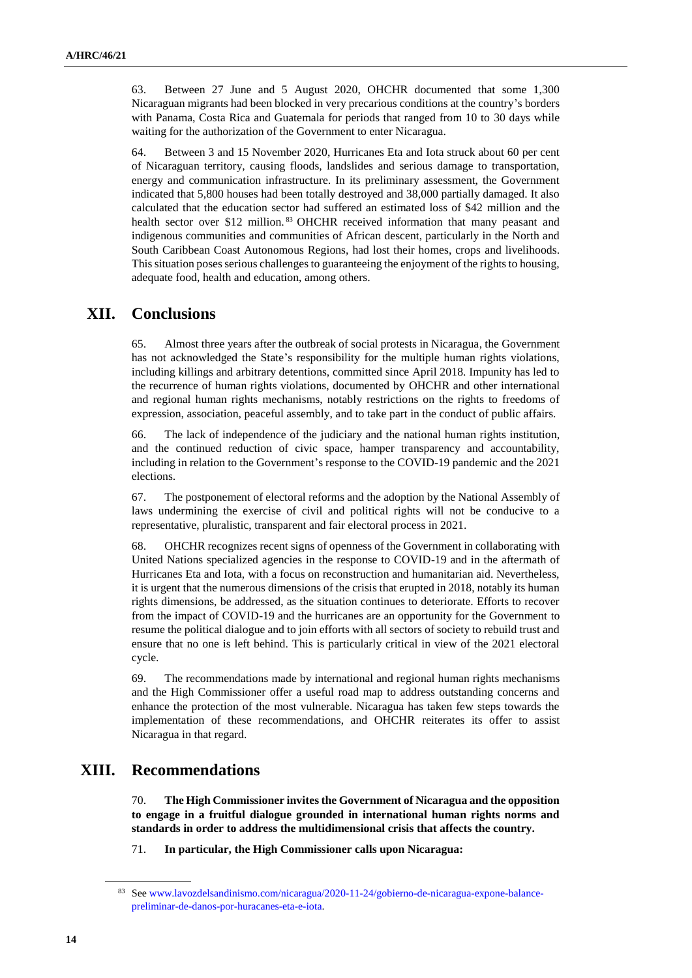63. Between 27 June and 5 August 2020, OHCHR documented that some 1,300 Nicaraguan migrants had been blocked in very precarious conditions at the country's borders with Panama, Costa Rica and Guatemala for periods that ranged from 10 to 30 days while waiting for the authorization of the Government to enter Nicaragua.

64. Between 3 and 15 November 2020, Hurricanes Eta and Iota struck about 60 per cent of Nicaraguan territory, causing floods, landslides and serious damage to transportation, energy and communication infrastructure. In its preliminary assessment, the Government indicated that 5,800 houses had been totally destroyed and 38,000 partially damaged. It also calculated that the education sector had suffered an estimated loss of \$42 million and the health sector over \$12 million.<sup>83</sup> OHCHR received information that many peasant and indigenous communities and communities of African descent, particularly in the North and South Caribbean Coast Autonomous Regions, had lost their homes, crops and livelihoods. This situation poses serious challenges to guaranteeing the enjoyment of the rights to housing, adequate food, health and education, among others.

#### **XII. Conclusions**

65. Almost three years after the outbreak of social protests in Nicaragua, the Government has not acknowledged the State's responsibility for the multiple human rights violations, including killings and arbitrary detentions, committed since April 2018. Impunity has led to the recurrence of human rights violations, documented by OHCHR and other international and regional human rights mechanisms, notably restrictions on the rights to freedoms of expression, association, peaceful assembly, and to take part in the conduct of public affairs.

66. The lack of independence of the judiciary and the national human rights institution, and the continued reduction of civic space, hamper transparency and accountability, including in relation to the Government's response to the COVID-19 pandemic and the 2021 elections.

67. The postponement of electoral reforms and the adoption by the National Assembly of laws undermining the exercise of civil and political rights will not be conducive to a representative, pluralistic, transparent and fair electoral process in 2021.

68. OHCHR recognizes recent signs of openness of the Government in collaborating with United Nations specialized agencies in the response to COVID-19 and in the aftermath of Hurricanes Eta and Iota, with a focus on reconstruction and humanitarian aid. Nevertheless, it is urgent that the numerous dimensions of the crisis that erupted in 2018, notably its human rights dimensions, be addressed, as the situation continues to deteriorate. Efforts to recover from the impact of COVID-19 and the hurricanes are an opportunity for the Government to resume the political dialogue and to join efforts with all sectors of society to rebuild trust and ensure that no one is left behind. This is particularly critical in view of the 2021 electoral cycle.

69. The recommendations made by international and regional human rights mechanisms and the High Commissioner offer a useful road map to address outstanding concerns and enhance the protection of the most vulnerable. Nicaragua has taken few steps towards the implementation of these recommendations, and OHCHR reiterates its offer to assist Nicaragua in that regard.

#### **XIII. Recommendations**

70. **The High Commissioner invites the Government of Nicaragua and the opposition to engage in a fruitful dialogue grounded in international human rights norms and standards in order to address the multidimensional crisis that affects the country.**

71. **In particular, the High Commissioner calls upon Nicaragua:**

<sup>83</sup> Se[e www.lavozdelsandinismo.com/nicaragua/2020-11-24/gobierno-de-nicaragua-expone-balance](http://www.lavozdelsandinismo.com/nicaragua/2020-11-24/gobierno-de-nicaragua-expone-balance-preliminar-de-danos-por-huracanes-eta-e-iota)[preliminar-de-danos-por-huracanes-eta-e-iota.](http://www.lavozdelsandinismo.com/nicaragua/2020-11-24/gobierno-de-nicaragua-expone-balance-preliminar-de-danos-por-huracanes-eta-e-iota)